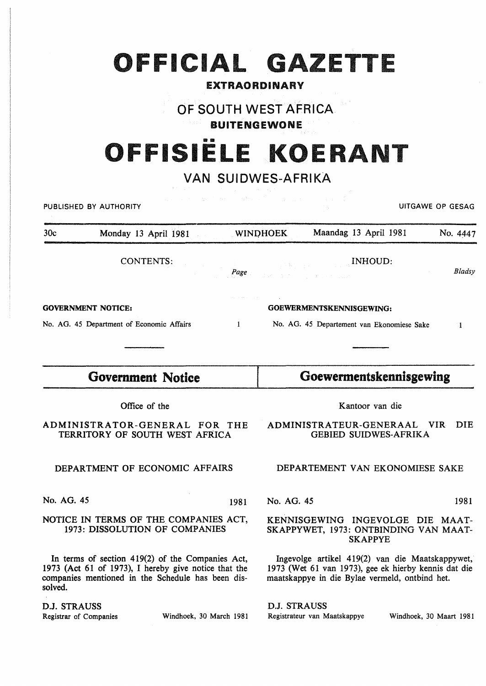## **OFFICIAL GAZETTE**

#### EXTRAORDINARY

### OF SOUTH WEST AFRICA

BUITENGEWONE

# 1111 **OFFISIELE KOERANT**

### VAN SUIDWES-AFRIKA

| ing for any<br>San Sunday<br>UITGAWE OP GESAG<br>PUBLISHED BY AUTHORITY                                                                                                  |                                                                 |              |                                                                                                                                                           |                                                              |                         |            |
|--------------------------------------------------------------------------------------------------------------------------------------------------------------------------|-----------------------------------------------------------------|--------------|-----------------------------------------------------------------------------------------------------------------------------------------------------------|--------------------------------------------------------------|-------------------------|------------|
| 30c                                                                                                                                                                      | Monday 13 April 1981                                            |              | Maandag 13 April 1981<br><b>WINDHOEK</b>                                                                                                                  |                                                              |                         | No. 4447   |
|                                                                                                                                                                          | <b>CONTENTS:</b>                                                | Page         |                                                                                                                                                           | <b>EXECUTIVE CONSTRUCTS</b><br>A Windows Construction County |                         | Bladsy     |
| <b>GOVERNMENT NOTICE:</b>                                                                                                                                                |                                                                 |              | GOEWERMENTSKENNISGEWING:                                                                                                                                  |                                                              |                         |            |
|                                                                                                                                                                          | No. AG. 45 Department of Economic Affairs                       | $\mathbf{1}$ |                                                                                                                                                           | No. AG. 45 Departement van Ekonomiese Sake                   |                         | 1          |
|                                                                                                                                                                          |                                                                 |              |                                                                                                                                                           |                                                              |                         |            |
| <b>Government Notice</b>                                                                                                                                                 |                                                                 |              | Goewermentskennisgewing                                                                                                                                   |                                                              |                         |            |
|                                                                                                                                                                          | Office of the                                                   |              |                                                                                                                                                           | Kantoor van die                                              |                         |            |
|                                                                                                                                                                          | ADMINISTRATOR-GENERAL FOR THE<br>TERRITORY OF SOUTH WEST AFRICA |              |                                                                                                                                                           | ADMINISTRATEUR-GENERAAL<br><b>GEBIED SUIDWES-AFRIKA</b>      | VIR-                    | <b>DIE</b> |
| DEPARTMENT OF ECONOMIC AFFAIRS                                                                                                                                           |                                                                 |              | DEPARTEMENT VAN EKONOMIESE SAKE                                                                                                                           |                                                              |                         |            |
| No. AG. 45                                                                                                                                                               |                                                                 | 1981         | No. AG. 45                                                                                                                                                |                                                              |                         | 1981       |
| NOTICE IN TERMS OF THE COMPANIES ACT,<br>1973: DISSOLUTION OF COMPANIES                                                                                                  |                                                                 |              | KENNISGEWING INGEVOLGE DIE MAAT-<br>SKAPPYWET, 1973: ONTBINDING VAN MAAT-<br><b>SKAPPYE</b>                                                               |                                                              |                         |            |
| In terms of section 419(2) of the Companies Act,<br>1973 (Act 61 of 1973), I hereby give notice that the<br>companies mentioned in the Schedule has been dis-<br>solved. |                                                                 |              | Ingevolge artikel 419(2) van die Maatskappywet,<br>1973 (Wet 61 van 1973), gee ek hierby kennis dat die<br>maatskappye in die Bylae vermeld, ontbind het. |                                                              |                         |            |
| D.J. STRAUSS<br>Registrar of Companies                                                                                                                                   | Windhoek, 30 March 1981                                         |              | D.J. STRAUSS                                                                                                                                              | Registrateur van Maatskappye                                 | Windhoek, 30 Maart 1981 |            |